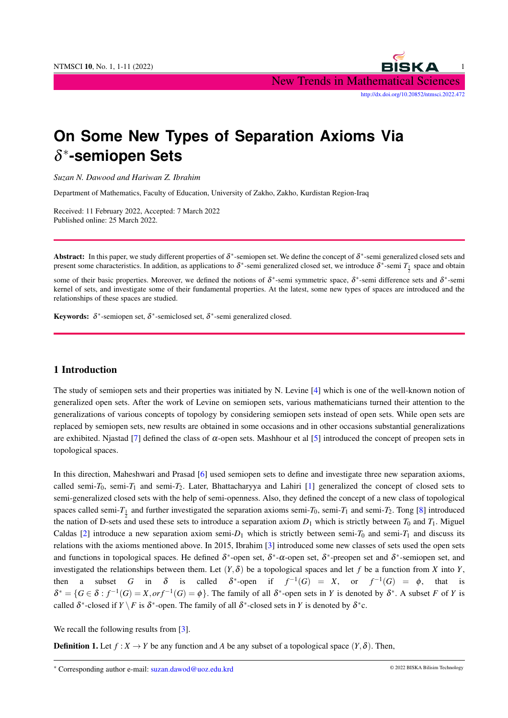

# **On Some New Types of Separation Axioms Via** δ ∗ **-semiopen Sets**

*Suzan N. Dawood and Hariwan Z. Ibrahim*

Department of Mathematics, Faculty of Education, University of Zakho, Zakho, Kurdistan Region-Iraq

Received: 11 February 2022, Accepted: 7 March 2022 Published online: 25 March 2022.

Abstract: In this paper, we study different properties of  $\delta^*$ -semiopen set. We define the concept of  $\delta^*$ -semi generalized closed sets and present some characteristics. In addition, as applications to  $\delta^*$ -semi generalized closed set, we introduce  $\delta^*$ -semi  $T_{\frac{1}{2}}$  space and obtain 2

some of their basic properties. Moreover, we defined the notions of  $\delta^*$ -semi symmetric space,  $\delta^*$ -semi difference sets and  $\delta^*$ -semi kernel of sets, and investigate some of their fundamental properties. At the latest, some new types of spaces are introduced and the relationships of these spaces are studied.

Keywords:  $\delta^*$ -semiopen set,  $\delta^*$ -semiclosed set,  $\delta^*$ -semi generalized closed.

#### 1 Introduction

The study of semiopen sets and their properties was initiated by N. Levine [\[4\]](#page-10-0) which is one of the well-known notion of generalized open sets. After the work of Levine on semiopen sets, various mathematicians turned their attention to the generalizations of various concepts of topology by considering semiopen sets instead of open sets. While open sets are replaced by semiopen sets, new results are obtained in some occasions and in other occasions substantial generalizations are exhibited. Njastad [\[7\]](#page-10-1) defined the class of  $\alpha$ -open sets. Mashhour et al [\[5\]](#page-10-2) introduced the concept of preopen sets in topological spaces.

In this direction, Maheshwari and Prasad [\[6\]](#page-10-3) used semiopen sets to define and investigate three new separation axioms, called semi- $T_0$ , semi- $T_1$  and semi- $T_2$ . Later, Bhattacharyya and Lahiri [\[1\]](#page-10-4) generalized the concept of closed sets to semi-generalized closed sets with the help of semi-openness. Also, they defined the concept of a new class of topological spaces called semi- $T_1$  and further investigated the separation axioms semi- $T_0$ , semi- $T_1$  and semi- $T_2$ . Tong [\[8\]](#page-10-5) introduced the nation of D-sets and used these sets to introduce a separation axiom  $D_1$  which is strictly between  $T_0$  and  $T_1$ . Miguel Caldas [\[2\]](#page-10-6) introduce a new separation axiom semi- $D_1$  which is strictly between semi- $T_0$  and semi- $T_1$  and discuss its relations with the axioms mentioned above. In 2015, Ibrahim [\[3\]](#page-10-7) introduced some new classes of sets used the open sets and functions in topological spaces. He defined  $\delta^*$ -open set,  $\delta^*$ - $\alpha$ -open set,  $\delta^*$ -preopen set and  $\delta^*$ -semiopen set, and investigated the relationships between them. Let  $(Y, \delta)$  be a topological spaces and let f be a function from X into Y, then a subset *G* in  $\delta$  is called  $\delta^*$ -open if  $f^{-1}(G) = X$ , or  $f^{-1}(G) = \phi$ , that is  $\delta^* = \{ G \in \delta : f^{-1}(G) = X, \text{or} f^{-1}(G) = \emptyset \}$ . The family of all  $\delta^*$ -open sets in *Y* is denoted by  $\delta^*$ . A subset *F* of *Y* is called  $\delta^*$ -closed if  $Y \setminus F$  is  $\delta^*$ -open. The family of all  $\delta^*$ -closed sets in *Y* is denoted by  $\delta^*$ c.

We recall the following results from [\[3\]](#page-10-7).

**Definition 1.** Let  $f: X \to Y$  be any function and A be any subset of a topological space  $(Y, \delta)$ . Then,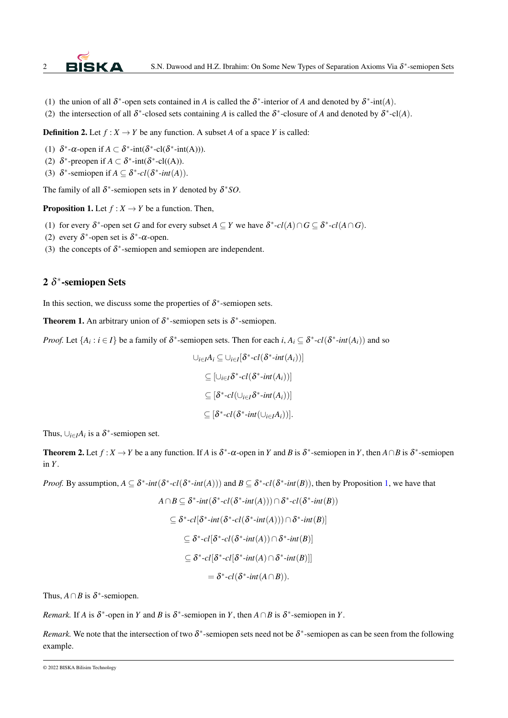

- (1) the union of all  $\delta^*$ -open sets contained in *A* is called the  $\delta^*$ -interior of *A* and denoted by  $\delta^*$ -int(*A*).
- (2) the intersection of all  $\delta^*$ -closed sets containing *A* is called the  $\delta^*$ -closure of *A* and denoted by  $\delta^*$ -cl(*A*).

**Definition 2.** Let  $f: X \to Y$  be any function. A subset *A* of a space *Y* is called:

- (1)  $\delta^*$ - $\alpha$ -open if  $A \subset \delta^*$ -int $(\delta^*$ -cl $(\delta^*$ -int $(A))$ ).
- (2)  $\delta^*$ -preopen if  $A \subset \delta^*$ -int( $\delta^*$ -cl((A)).
- (3)  $\delta^*$ -semiopen if  $A \subseteq \delta^*$ -cl( $\delta^*$ -int(A)).

The family of all  $\delta^*$ -semiopen sets in *Y* denoted by  $\delta^*SO$ .

<span id="page-1-0"></span>**Proposition 1.** Let  $f : X \to Y$  be a function. Then,

- (1) for every  $\delta^*$ -open set *G* and for every subset  $A \subseteq Y$  we have  $\delta^*$ - $cl(A) \cap G \subseteq \delta^*$ - $cl(A \cap G)$ .
- (2) every  $\delta^*$ -open set is  $\delta^*$ - $\alpha$ -open.
- (3) the concepts of  $\delta^*$ -semiopen and semiopen are independent.

## 2  $\delta^*$ -semiopen Sets

In this section, we discuss some the properties of  $\delta^*$ -semiopen sets.

**Theorem 1.** An arbitrary union of  $\delta^*$ -semiopen sets is  $\delta^*$ -semiopen.

*Proof.* Let  $\{A_i : i \in I\}$  be a family of  $\delta^*$ -semiopen sets. Then for each  $i, A_i \subseteq \delta^*$ - $cl(\delta^*$ - $int(A_i))$  and so

$$
\bigcup_{i \in I} A_i \subseteq \bigcup_{i \in I} [\delta^* \text{-}cl(\delta^* \text{-}int(A_i))] \\
\subseteq \big[\bigcup_{i \in I} \delta^* \text{-}cl(\delta^* \text{-}int(A_i))\big] \\
\subseteq [\delta^* \text{-}cl(\bigcup_{i \in I} \delta^* \text{-}int(A_i))] \\
\subseteq [\delta^* \text{-}cl(\delta^* \text{-}int(\bigcup_{i \in I} A_i))].
$$

Thus,  $\bigcup_{i \in I} A_i$  is a  $\delta^*$ -semiopen set.

<span id="page-1-1"></span>**Theorem 2.** Let  $f: X \to Y$  be a any function. If *A* is  $\delta^*$ - $\alpha$ -open in *Y* and *B* is  $\delta^*$ -semiopen in *Y*, then  $A \cap B$  is  $\delta^*$ -semiopen in *Y*.

*Proof.* By assumption,  $A \subseteq \delta^*$ -*int*( $\delta^*$ -*cl*( $\delta^*$ -*int*( $A$ ))) and  $B \subseteq \delta^*$ -*cl*( $\delta^*$ -*int*( $B$ )), then by Proposition [1,](#page-1-0) we have that

$$
A \cap B \subseteq \delta^* \text{-}int(\delta^* \text{-}cl(\delta^* \text{-}int(A))) \cap \delta^* \text{-}cl(\delta^* \text{-}int(B))
$$
  

$$
\subseteq \delta^* \text{-}cl[\delta^* \text{-}int(\delta^* \text{-}int(A))) \cap \delta^* \text{-}int(B)]
$$
  

$$
\subseteq \delta^* \text{-}cl[\delta^* \text{-}cl(\delta^* \text{-}int(A)) \cap \delta^* \text{-}int(B)]
$$
  

$$
\subseteq \delta^* \text{-}cl[\delta^* \text{-}cl(\delta^* \text{-}int(A) \cap \delta^* \text{-}int(B)]]
$$
  

$$
= \delta^* \text{-}cl(\delta^* \text{-}int(A \cap B)).
$$

Thus,  $A \cap B$  is  $\delta^*$ -semiopen.

*Remark.* If *A* is  $\delta^*$ -open in *Y* and *B* is  $\delta^*$ -semiopen in *Y*, then *A* ∩ *B* is  $\delta^*$ -semiopen in *Y*.

*Remark*. We note that the intersection of two  $\delta^*$ -semiopen sets need not be  $\delta^*$ -semiopen as can be seen from the following example.

<sup>© 2022</sup> BISKA Bilisim Technology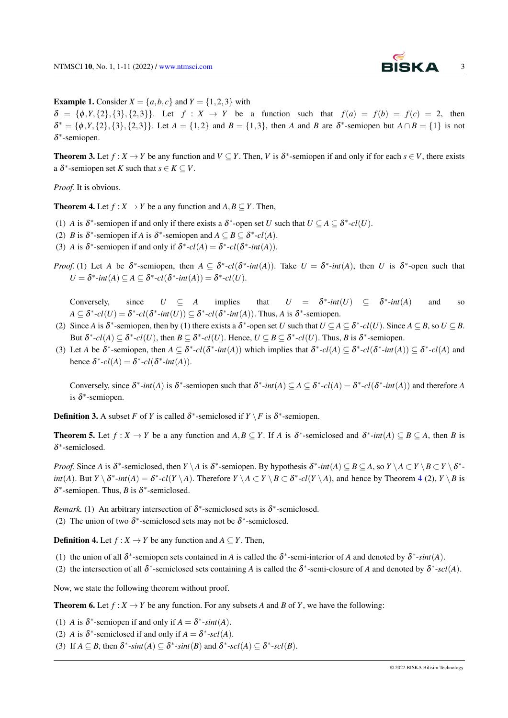

**Example 1.** Consider  $X = \{a, b, c\}$  and  $Y = \{1, 2, 3\}$  with

 $\delta = {\phi, Y, {2}, {3}, {2,3}}$ . Let  $f : X \rightarrow Y$  be a function such that  $f(a) = f(b) = f(c) = 2$ , then  $\delta^* = {\phi, Y, {2}, {3}, {2, 3}}$ . Let  $A = {1, 2}$  and  $B = {1, 3}$ , then *A* and *B* are  $\delta^*$ -semiopen but  $A \cap B = {1}$  is not δ ∗ -semiopen.

**Theorem 3.** Let  $f: X \to Y$  be any function and  $V \subseteq Y$ . Then, *V* is  $\delta^*$ -semiopen if and only if for each  $s \in V$ , there exists a  $\delta^*$ -semiopen set *K* such that  $s \in K \subseteq V$ .

*Proof.* It is obvious.

<span id="page-2-0"></span>**Theorem 4.** Let  $f: X \to Y$  be a any function and  $A, B \subseteq Y$ . Then,

- (1) *A* is  $\delta^*$ -semiopen if and only if there exists a  $\delta^*$ -open set *U* such that  $U \subseteq A \subseteq \delta^*$ - $cl(U)$ .
- (2) *B* is  $\delta^*$ -semiopen if *A* is  $\delta^*$ -semiopen and  $A \subseteq B \subseteq \delta^*$ -cl(*A*).
- (3) *A* is  $\delta^*$ -semiopen if and only if  $\delta^*$ - $cl(A) = \delta^*$ - $cl(\delta^*$ - $int(A))$ .
- *Proof.* (1) Let *A* be  $\delta^*$ -semiopen, then  $A \subseteq \delta^*$ - $cl(\delta^*$ - $int(A))$ . Take  $U = \delta^*$ - $int(A)$ , then *U* is  $\delta^*$ -open such that  $U = \delta^*$ -*int*(*A*)  $\subseteq A \subseteq \delta^*$ -*cl*( $\delta^*$ -*int*(*A*)) =  $\delta^*$ -*cl*(*U*).

Conversely, since  $U \subseteq A$  implies that <sup>\*</sup>*-int*(*U*) ⊆  $δ^*$ *-int*(*A*) and so  $A \subseteq \delta^*$ - $cl(U) = \delta^*$ - $cl(\delta^*$ - $int(U)) \subseteq \delta^*$ - $cl(\delta^*$ - $int(A))$ . Thus, *A* is  $\delta^*$ -semiopen.

- (2) Since *A* is  $\delta^*$ -semiopen, then by (1) there exists a  $\delta^*$ -open set *U* such that  $U \subseteq A \subseteq \delta^*$ - $cl(U)$ . Since  $A \subseteq B$ , so  $U \subseteq B$ . But  $\delta^*$ - $cl(A) \subseteq \delta^*$ - $cl(U)$ , then  $B \subseteq \delta^*$ - $cl(U)$ . Hence,  $U \subseteq B \subseteq \delta^*$ - $cl(U)$ . Thus, B is  $\delta^*$ -semiopen.
- (3) Let *A* be  $\delta^*$ -semiopen, then  $A \subseteq \delta^*$ - $cl(\delta^*$ - $int(A))$  which implies that  $\delta^*$ - $cl(A) \subseteq \delta^*$ - $cl(\delta^*$ - $int(A)) \subseteq \delta^*$ - $cl(A)$  and hence  $\delta^*$ - $cl(A) = \delta^*$ - $cl(\delta^*$ - $int(A))$ .

Conversely, since  $\delta^*$ -*int*(*A*) is  $\delta^*$ -semiopen such that  $\delta^*$ -*int*(*A*)  $\subseteq$  *A*  $\subseteq$   $\delta^*$ -*cl*(*A*) =  $\delta^*$ -*cl*( $\delta^*$ -*int*(*A*)) and therefore *A* is  $\delta^*$ -semiopen.

<span id="page-2-1"></span>**Definition 3.** A subset *F* of *Y* is called  $\delta^*$ -semiclosed if  $Y \setminus F$  is  $\delta^*$ -semiopen.

**Theorem 5.** Let  $f: X \to Y$  be a any function and  $A, B \subseteq Y$ . If *A* is  $\delta^*$ -semiclosed and  $\delta^*$ -*int*(*A*)  $\subseteq B \subseteq A$ , then *B* is δ ∗ -semiclosed.

*Proof.* Since *A* is  $\delta^*$ -semiclosed, then *Y* \ *A* is  $\delta^*$ -semiopen. By hypothesis  $\delta^*$ -int $(A) \subseteq B \subseteq A$ , so  $Y \setminus A \subset Y \setminus B \subset Y \setminus \delta^*$ int(A). But  $Y \setminus \delta^*$ -int(A) =  $\delta^*$ -cl(Y \A). Therefore  $Y \setminus A \subset Y \setminus B \subset \delta^*$ -cl(Y \A), and hence by Theorem [4](#page-2-0) (2),  $Y \setminus B$  is  $\delta^*$ -semiopen. Thus, *B* is  $\delta^*$ -semiclosed.

*Remark.* (1) An arbitrary intersection of  $\delta^*$ -semiclosed sets is  $\delta^*$ -semiclosed. (2) The union of two  $\delta^*$ -semiclosed sets may not be  $\delta^*$ -semiclosed.

**Definition 4.** Let  $f: X \to Y$  be any function and  $A \subseteq Y$ . Then,

- (1) the union of all  $\delta^*$ -semiopen sets contained in *A* is called the  $\delta^*$ -semi-interior of *A* and denoted by  $\delta^*$ -sint(*A*).
- (2) the intersection of all  $\delta^*$ -semiclosed sets containing *A* is called the  $\delta^*$ -semi-closure of *A* and denoted by  $\delta^*$ -scl(*A*).

Now, we state the following theorem without proof.

**Theorem 6.** Let  $f: X \to Y$  be any function. For any subsets A and B of Y, we have the following:

- (1) *A* is  $\delta^*$ -semiopen if and only if  $A = \delta^*$ -sint(*A*).
- (2) *A* is  $\delta^*$ -semiclosed if and only if  $A = \delta^*$ -scl(*A*).
- (3) If  $A \subseteq B$ , then  $\delta^*$ -*sint*(*A*)  $\subseteq \delta^*$ -*sint*(*B*) and  $\delta^*$ -*scl*(*A*)  $\subseteq \delta^*$ -*scl*(*B*).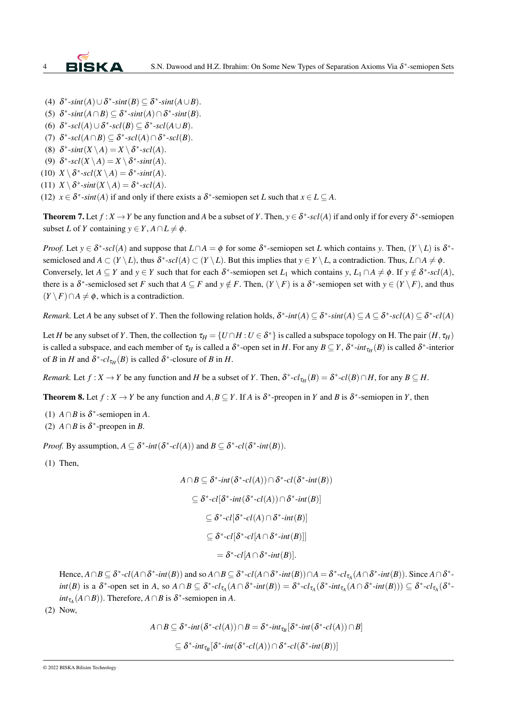

- (4)  $\delta^*$ -*sint*(*A*)∪ $\delta^*$ -*sint*(*B*)  $\subseteq$   $\delta^*$ -*sint*(*A*∪*B*).
- (5)  $\delta^*$ -*sint*( $A \cap B$ )  $\subseteq \delta^*$ -*sint*( $A$ )  $\cap \delta^*$ -*sint*( $B$ ).
- (6)  $\delta^*$ - $\mathfrak{sl}(A) \cup \delta^*$ - $\mathfrak{sl}(B) \subseteq \delta^*$ - $\mathfrak{sl}(A \cup B)$ .
- (7)  $\delta^*$ - $scl(A \cap B) \subseteq \delta^*$ - $scl(A) \cap \delta^*$ - $scl(B)$ .
- (8)  $\delta^*$ -*sint*(*X* \ *A*) = *X* \  $\delta^*$ -*scl*(*A*).
- (9)  $\delta^*$ -*scl*(*X* \ *A*) = *X* \  $\delta^*$ -*sint*(*A*).
- (10)  $X \setminus \delta^*$ - $scl(X \setminus A) = \delta^*$ - $sint(A)$ .
- (11)  $X \setminus \delta^*$ -*sint*( $X \setminus A$ ) =  $\delta^*$ -*scl*( $A$ ).

(12)  $x \in \delta^*$ -*sint*(*A*) if and only if there exists a  $\delta^*$ -semiopen set *L* such that  $x \in L \subseteq A$ .

<span id="page-3-0"></span>**Theorem 7.** Let  $f: X \to Y$  be any function and A be a subset of Y. Then,  $y \in \delta^*$ -scl(A) if and only if for every  $\delta^*$ -semiopen subset *L* of *Y* containing  $y \in Y$ ,  $A \cap L \neq \emptyset$ .

*Proof.* Let  $y \in \delta^*$ -scl(*A*) and suppose that  $L \cap A = \phi$  for some  $\delta^*$ -semiopen set *L* which contains *y*. Then,  $(Y \setminus L)$  is  $\delta^*$ semiclosed and  $A \subset (Y \setminus L)$ , thus  $\delta^*$ -scl( $A) \subset (Y \setminus L)$ . But this implies that  $y \in Y \setminus L$ , a contradiction. Thus,  $L \cap A \neq \emptyset$ . Conversely, let  $A \subseteq Y$  and  $y \in Y$  such that for each  $\delta^*$ -semiopen set  $L_1$  which contains  $y, L_1 \cap A \neq \emptyset$ . If  $y \notin \delta^*$ -scl(*A*), there is a  $\delta^*$ -semiclosed set *F* such that  $A \subseteq F$  and  $y \notin F$ . Then,  $(Y \setminus F)$  is a  $\delta^*$ -semiopen set with  $y \in (Y \setminus F)$ , and thus  $(Y \setminus F) \cap A \neq \emptyset$ , which is a contradiction.

*Remark.* Let *A* be any subset of *Y*. Then the following relation holds,  $\delta^*$ -int $(A) \subseteq \delta^*$ -sint $(A) \subseteq A \subseteq \delta^*$ -scl $(A) \subseteq \delta^*$ -cl $(A)$ 

Let *H* be any subset of *Y*. Then, the collection  $\tau_H = \{U \cap H : U \in \delta^*\}$  is called a subspace topology on H. The pair  $(H, \tau_H)$ is called a subspace, and each member of  $\tau_H$  is called a  $\delta^*$ -open set in *H*. For any  $B \subseteq Y$ ,  $\delta^*$ -int $\tau_H(B)$  is called  $\delta^*$ -interior of *B* in *H* and  $\delta^*$ - $cl_{\tau_H}(B)$  is called  $\delta^*$ -closure of *B* in *H*.

*Remark.* Let  $f: X \to Y$  be any function and *H* be a subset of *Y*. Then,  $\delta^*$ - $cl_{\tau_H}(B) = \delta^*$ - $cl(B) \cap H$ , for any  $B \subseteq H$ .

**Theorem 8.** Let  $f: X \to Y$  be any function and  $A, B \subseteq Y$ . If *A* is  $\delta^*$ -preopen in *Y* and *B* is  $\delta^*$ -semiopen in *Y*, then

- (1)  $A \cap B$  is  $\delta^*$ -semiopen in *A*.
- (2)  $A \cap B$  is  $\delta^*$ -preopen in *B*.

*Proof.* By assumption,  $A \subseteq \delta^*$ -*int*( $\delta^*$ -*cl*( $A$ )) and  $B \subseteq \delta^*$ -*cl*( $\delta^*$ -*int*( $B$ )).

(1) Then,

$$
A \cap B \subseteq \delta^* \text{-}int(\delta^* \text{-}cl(A)) \cap \delta^* \text{-}cl(\delta^* \text{-}int(B))
$$
  
\n
$$
\subseteq \delta^* \text{-}cl[\delta^* \text{-}int(\delta^* \text{-}cl(A)) \cap \delta^* \text{-}int(B)]
$$
  
\n
$$
\subseteq \delta^* \text{-}cl[\delta^* \text{-}cl(A) \cap \delta^* \text{-}int(B)]
$$
  
\n
$$
\subseteq \delta^* \text{-}cl[\delta^* \text{-}cl[A \cap \delta^* \text{-}int(B)]]
$$
  
\n
$$
= \delta^* \text{-}cl[A \cap \delta^* \text{-}int(B)].
$$

Hence,  $A \cap B \subseteq \delta^*$ -cl( $A \cap \delta^*$ -int(B)) and so  $A \cap B \subseteq \delta^*$ -cl( $A \cap \delta^*$ -int(B)) $\cap A = \delta^*$ -cl<sub> $\tau_A(A \cap \delta^*$ -int(B)). Since  $A \cap \delta^*$ -</sub>  $int(B)$  is a  $\delta^*$ -open set in A, so  $A \cap B \subseteq \delta^*$ - $cl_{\tau_A}(A \cap \delta^*$ - $int(B)) = \delta^*$ - $cl_{\tau_A}(\delta^*$ - $int_{\tau_A}(A \cap \delta^*$ - $int(B))) \subseteq \delta^*$ - $cl_{\tau_A}(\delta^*$  $int_{\tau_A}(A \cap B)$ ). Therefore,  $A \cap B$  is  $\delta^*$ -semiopen in *A*.

(2) Now,

$$
A \cap B \subseteq \delta^* \text{-}int(\delta^* \text{-}cl(A)) \cap B = \delta^* \text{-}int_{\tau_B} [\delta^* \text{-}int(\delta^* \text{-}cl(A)) \cap B]
$$
  

$$
\subseteq \delta^* \text{-}int_{\tau_B} [\delta^* \text{-}int(\delta^* \text{-}cl(A)) \cap \delta^* \text{-}cl(\delta^* \text{-}int(B))]
$$

© 2022 BISKA Bilisim Technology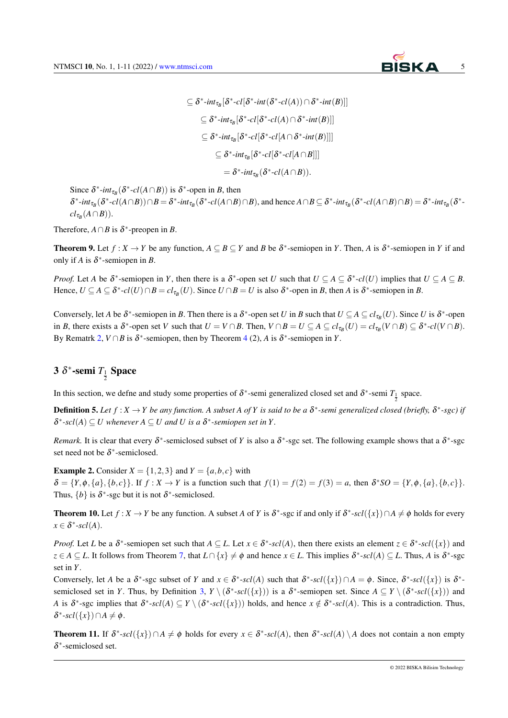

$$
\subseteq \delta^* \text{-} \text{int}_{\tau_B} [\delta^* \text{-} \text{cl}[\delta^* \text{-} \text{int}(\delta^* \text{-} \text{cl}(A)) \cap \delta^* \text{-} \text{int}(B)]]
$$
\n
$$
\subseteq \delta^* \text{-} \text{int}_{\tau_B} [\delta^* \text{-} \text{cl}[\delta^* \text{-} \text{cl}(A) \cap \delta^* \text{-} \text{int}(B)]]
$$
\n
$$
\subseteq \delta^* \text{-} \text{int}_{\tau_B} [\delta^* \text{-} \text{cl}[\delta^* \text{-} \text{cl}[A \cap \delta^* \text{-} \text{int}(B)]]]
$$
\n
$$
\subseteq \delta^* \text{-} \text{int}_{\tau_B} [\delta^* \text{-} \text{cl}[\delta^* \text{-} \text{cl}[A \cap B]]]
$$
\n
$$
= \delta^* \text{-} \text{int}_{\tau_B} (\delta^* \text{-} \text{cl}(A \cap B)).
$$

Since  $\delta^*$ -*int*<sub>τ*B*</sub></sub>( $\delta^*$ -*cl*(*A* ∩*B*)) is  $\delta^*$ -open in *B*, then

 $\delta^*$ -int $_{\tau_B}(\delta^*$ -cl(A $\cap$ B)) $\cap B = \delta^*$ -int $_{\tau_B}(\delta^*$ -cl(A $\cap$ B) $\cap B$ ), and hence  $A \cap B \subseteq \delta^*$ -int $_{\tau_B}(\delta^*$ -cl(A $\cap B)$  $\cap B) = \delta^*$ -int $_{\tau_B}(\delta^*$ -cl  $cl_{\tau_B}(A \cap B)).$ 

Therefore,  $A \cap B$  is  $\delta^*$ -preopen in *B*.

**Theorem 9.** Let  $f: X \to Y$  be any function,  $A \subseteq B \subseteq Y$  and B be  $\delta^*$ -semiopen in Y. Then, A is  $\delta^*$ -semiopen in Y if and only if *A* is  $\delta^*$ -semiopen in *B*.

*Proof.* Let *A* be  $\delta^*$ -semiopen in *Y*, then there is a  $\delta^*$ -open set *U* such that  $U \subseteq A \subseteq \delta^*$ - $cl(U)$  implies that  $U \subseteq A \subseteq B$ . Hence,  $U \subseteq A \subseteq \delta^*$ - $cl(U) \cap B = cl_{\tau_B}(U)$ . Since  $U \cap B = U$  is also  $\delta^*$ -open in *B*, then *A* is  $\delta^*$ -semiopen in *B*.

Conversely, let *A* be  $\delta^*$ -semiopen in *B*. Then there is a  $\delta^*$ -open set *U* in *B* such that  $U \subseteq A \subseteq cl_{\tau_B}(U)$ . Since *U* is  $\delta^*$ -open in B, there exists a  $\delta^*$ -open set V such that  $U = V \cap B$ . Then,  $V \cap B = U \subseteq A \subseteq cl_{\tau_B}(U) = cl_{\tau_B}(V \cap B) \subseteq \delta^*$ - $cl(V \cap B)$ . By Rematrk [2,](#page-1-1)  $V \cap B$  is  $\delta^*$ -semiopen, then by Theorem [4](#page-2-0) (2), *A* is  $\delta^*$ -semiopen in *Y*.

## 3  $\delta^*$ -semi  $T_1$  Space

In this section, we define and study some properties of  $\delta^*$ -semi generalized closed set and  $\delta^*$ -semi  $T_1$  space.

**Definition 5.** Let  $f: X \to Y$  be any function. A subset A of Y is said to be a  $\delta^*$ -semi generalized closed (briefly,  $\delta^*$ -sgc) if  $\delta^*$ -scl(A)  $\subseteq U$  whenever  $A \subseteq U$  and U is a  $\delta^*$ -semiopen set in Y.

*Remark*. It is clear that every  $\delta^*$ -semiclosed subset of *Y* is also a  $\delta^*$ -sgc set. The following example shows that a  $\delta^*$ -sgc set need not be  $\delta^*$ -semiclosed.

**Example 2.** Consider  $X = \{1,2,3\}$  and  $Y = \{a,b,c\}$  with  $\delta = \{Y, \phi, \{a\}, \{b, c\}\}\.$  If  $f: X \to Y$  is a function such that  $f(1) = f(2) = f(3) = a$ , then  $\delta^* SO = \{Y, \phi, \{a\}, \{b, c\}\}\.$ Thus,  $\{b\}$  is  $\delta^*$ -sgc but it is not  $\delta^*$ -semiclosed.

**Theorem 10.** Let  $f: X \to Y$  be any function. A subset *A* of *Y* is  $\delta^*$ -sgc if and only if  $\delta^*$ -scl( $\{\{x\}\}\cap A \neq \emptyset$  holds for every  $x \in \delta^*$ -scl(A).

*Proof.* Let *L* be a  $\delta^*$ -semiopen set such that  $A \subseteq L$ . Let  $x \in \delta^*$ -scl(*A*), then there exists an element  $z \in \delta^*$ -scl({*x*}) and  $z \in A \subseteq L$ . It follows from Theorem [7,](#page-3-0) that  $L \cap \{x\} \neq \emptyset$  and hence  $x \in L$ . This implies  $\delta^*$ -scl(*A*)  $\subseteq L$ . Thus, *A* is  $\delta^*$ -sgc set in *Y*.

Conversely, let *A* be a  $\delta^*$ -sgc subset of *Y* and  $x \in \delta^*$ -scl(*A*) such that  $\delta^*$ -scl({*x*})  $\cap A = \phi$ . Since,  $\delta^*$ -scl({*x*}) is  $\delta^*$ semiclosed set in *Y*. Thus, by Definition [3,](#page-2-1)  $Y \setminus (\delta^* \text{-} \mathit{scl}(\lbrace x \rbrace))$  is a  $\delta^*$ -semiopen set. Since  $A \subseteq Y \setminus (\delta^* \text{-} \mathit{scl}(\lbrace x \rbrace))$  and *A* is  $\delta^*$ -sgc implies that  $\delta^*$ -*scl*(*A*)  $\subseteq$  *Y*  $\setminus (\delta^*$ -*scl*({*x*})) holds, and hence  $x \notin \delta^*$ -*scl*(*A*). This is a contradiction. Thus,  $\delta^*$ -scl({x})∩*A*  $\neq$   $\phi$ .

<span id="page-4-0"></span>**Theorem 11.** If  $\delta^*$ - $scl(\lbrace x \rbrace) \cap A \neq \emptyset$  holds for every  $x \in \delta^*$ - $scl(A)$ , then  $\delta^*$ - $scl(A) \setminus A$  does not contain a non empty δ ∗ -semiclosed set.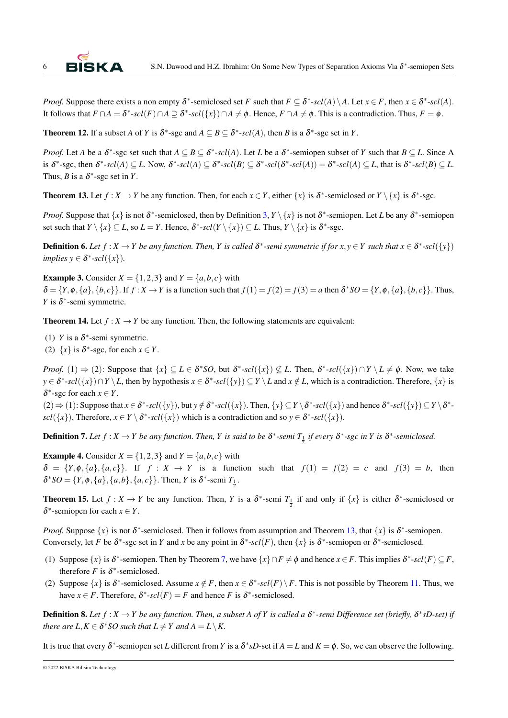

*Proof.* Suppose there exists a non empty  $\delta^*$ -semiclosed set *F* such that  $F \subseteq \delta^*$ - $scl(A) \setminus A$ . Let  $x \in F$ , then  $x \in \delta^*$ - $scl(A)$ . It follows that  $F \cap A = \delta^*$ - $scl(F) \cap A \supseteq \delta^*$ - $scl(\lbrace x \rbrace) \cap A \neq \phi$ . Hence,  $F \cap A \neq \phi$ . This is a contradiction. Thus,  $F = \phi$ .

**Theorem 12.** If a subset *A* of *Y* is  $\delta^*$ -sgc and  $A \subseteq B \subseteq \delta^*$ -scl(*A*), then *B* is a  $\delta^*$ -sgc set in *Y*.

*Proof.* Let *A* be a  $\delta^*$ -sgc set such that  $A \subseteq B \subseteq \delta^*$ -scl(*A*). Let *L* be a  $\delta^*$ -semiopen subset of *Y* such that  $B \subseteq L$ . Since *A* is  $\delta^*$ -sgc, then  $\delta^*$ -scl(A)  $\subseteq$  L. Now,  $\delta^*$ -scl(A)  $\subseteq$   $\delta^*$ -scl(B)  $\subseteq$   $\delta^*$ -scl( $\delta^*$ -scl(A)) =  $\delta^*$ -scl(A)  $\subseteq$  L, that is  $\delta^*$ -scl(B)  $\subseteq$  L. Thus, *B* is a  $\delta^*$ -sgc set in *Y*.

<span id="page-5-0"></span>**Theorem 13.** Let  $f: X \to Y$  be any function. Then, for each  $x \in Y$ , either  $\{x\}$  is  $\delta^*$ -semiclosed or  $Y \setminus \{x\}$  is  $\delta^*$ -sgc.

*Proof.* Suppose that  $\{x\}$  is not  $\delta^*$ -semiclosed, then by Definition [3,](#page-2-1)  $Y \setminus \{x\}$  is not  $\delta^*$ -semiopen. Let *L* be any  $\delta^*$ -semiopen set such that  $Y \setminus \{x\} \subseteq L$ , so  $L = Y$ . Hence,  $\delta^*$ - $scl(Y \setminus \{x\}) \subseteq L$ . Thus,  $Y \setminus \{x\}$  is  $\delta^*$ -sgc.

**Definition 6.** Let  $f: X \to Y$  be any function. Then, Y is called  $\delta^*$ -semi symmetric if for  $x, y \in Y$  such that  $x \in \delta^*$ -scl $(\{y\})$  $implies y \in \delta^*$ - $scl(\lbrace x \rbrace)$ *.* 

**Example 3.** Consider  $X = \{1,2,3\}$  and  $Y = \{a,b,c\}$  with  $\delta = \{Y, \phi, \{a\}, \{b, c\}\}\$ . If  $f: X \to Y$  is a function such that  $f(1) = f(2) = f(3) = a$  then  $\delta^* SO = \{Y, \phi, \{a\}, \{b, c\}\}\$ . Thus, *Y* is  $\delta$ <sup>\*</sup>-semi symmetric.

<span id="page-5-2"></span>**Theorem 14.** Let  $f: X \to Y$  be any function. Then, the following statements are equivalent:

- (1) *Y* is a  $\delta^*$ -semi symmetric.
- (2)  $\{x\}$  is  $\delta^*$ -sgc, for each  $x \in Y$ .

*Proof.* (1)  $\Rightarrow$  (2): Suppose that  $\{x\} \subseteq L \in \delta^*SO$ , but  $\delta^*$ -scl $(\{x\}) \nsubseteq L$ . Then,  $\delta^*$ -scl $(\{x\}) \cap Y \setminus L \neq \emptyset$ . Now, we take  $y \in \delta^*$ -*scl*({*x*})∩*Y* \ *L*, then by hypothesis  $x \in \delta^*$ -*scl*({*y*})  $\subseteq$  *Y* \ *L* and  $x \notin L$ , which is a contradiction. Therefore, {*x*} is  $\delta^*$ -sgc for each  $x \in Y$ .

 $(2) \Rightarrow (1)$ : Suppose that  $x \in \delta^*$ -scl $(\{y\})$ , but  $y \notin \delta^*$ -scl $(\{x\})$ . Then,  $\{y\} \subseteq Y \setminus \delta^*$ -scl $(\{x\})$  and hence  $\delta^*$ -scl $(\{y\}) \subseteq Y \setminus \delta^*$  $scl({x})$ . Therefore,  $x \in Y \setminus \delta^*$ - $scl({x})$  which is a contradiction and so  $y \in \delta^*$ - $scl({x})$ .

**Definition 7.** Let  $f: X \to Y$  be any function. Then, Y is said to be  $\delta^*$ -semi  $T_{\frac{1}{2}}$  if every  $\delta^*$ -sgc in Y is  $\delta^*$ -semiclosed.

**Example 4.** Consider  $X = \{1,2,3\}$  and  $Y = \{a,b,c\}$  with  $\delta = \{Y, \phi, \{a\}, \{a, c\}\}\$ . If  $f : X \to Y$  is a function such that  $f(1) = f(2) = c$  and  $f(3) = b$ , then  $\delta^* SO = \{Y, \phi, \{a\}, \{a, b\}, \{a, c\}\}\$ . Then, *Y* is  $\delta^*$ -semi  $T_{\frac{1}{2}}$ .

<span id="page-5-1"></span>**Theorem 15.** Let  $f: X \to Y$  be any function. Then, *Y* is a  $\delta^*$ -semi  $T_{\frac{1}{2}}$  if and only if  $\{x\}$  is either  $\delta^*$ -semiclosed or  $\delta^*$ -semiopen for each  $x \in Y$ .

*Proof.* Suppose  $\{x\}$  is not  $\delta^*$ -semiclosed. Then it follows from assumption and Theorem [13,](#page-5-0) that  $\{x\}$  is  $\delta^*$ -semiopen. Conversely, let *F* be  $\delta^*$ -sgc set in *Y* and *x* be any point in  $\delta^*$ -scl(*F*), then  $\{x\}$  is  $\delta^*$ -semiopen or  $\delta^*$ -semiclosed.

- (1) Suppose  $\{x\}$  is  $\delta^*$ -semiopen. Then by Theorem [7,](#page-3-0) we have  $\{x\} \cap F \neq \phi$  and hence  $x \in F$ . This implies  $\delta^*$ -scl $(F) \subseteq F$ , therefore *F* is  $\delta^*$ -semiclosed.
- (2) Suppose  $\{x\}$  is  $\delta^*$ -semiclosed. Assume  $x \notin F$ , then  $x \in \delta^*$ -scl $(F) \setminus F$ . This is not possible by Theorem [11.](#page-4-0) Thus, we have  $x \in F$ . Therefore,  $\delta^*$ -scl $(F) = F$  and hence *F* is  $\delta^*$ -semiclosed.

**Definition 8.** Let  $f: X \to Y$  be any function. Then, a subset A of Y is called a  $\delta^*$ -semi Difference set (briefly,  $\delta^* sD$ -set) if *there are L,* $K \in \delta^*$ *SO such that*  $L \neq Y$  *and*  $A = L \setminus K$ *.* 

It is true that every  $\delta^*$ -semiopen set *L* different from *Y* is a  $\delta^*sD$ -set if  $A = L$  and  $K = \phi$ . So, we can observe the following.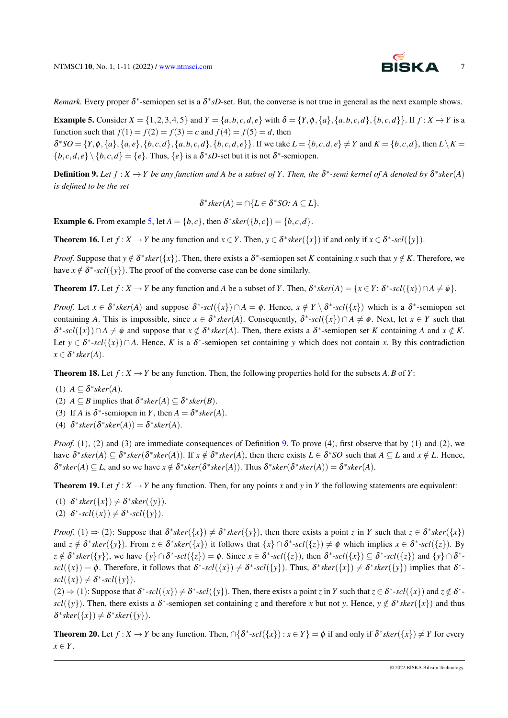*Remark*. Every proper  $\delta^*$ -semiopen set is a  $\delta^*sD$ -set. But, the converse is not true in general as the next example shows.

<span id="page-6-0"></span>**Example 5.** Consider  $X = \{1, 2, 3, 4, 5\}$  and  $Y = \{a, b, c, d, e\}$  with  $\delta = \{Y, \phi, \{a\}, \{a, b, c, d\}, \{b, c, d\}\}\$ . If  $f : X \to Y$  is a function such that  $f(1) = f(2) = f(3) = c$  and  $f(4) = f(5) = d$ , then  $\delta^*SO = \{Y, \phi, \{a\}, \{a, e\}, \{b, c, d\}, \{a, b, c, d\}, \{b, c, d, e\}\}.$  If we take  $L = \{b, c, d, e\} \neq Y$  and  $K = \{b, c, d\}$ , then  $L \setminus K =$  $\{b, c, d, e\} \setminus \{b, c, d\} = \{e\}.$  Thus,  $\{e\}$  is a  $\delta^* sD$ -set but it is not  $\delta^*$ -semiopen.

<span id="page-6-1"></span>**Definition 9.** Let  $f: X \to Y$  be any function and A be a subset of Y. Then, the  $\delta^*$ -semi kernel of A denoted by  $\delta^*$ sker(A) *is defined to be the set*

$$
\delta^*sker(A) = \bigcap \{ L \in \delta^*SO : A \subseteq L \}.
$$

**Example 6.** From example [5,](#page-6-0) let  $A = \{b, c\}$ , then  $\delta^* \text{sker}(\{b, c\}) = \{b, c, d\}$ .

**Theorem 16.** Let  $f: X \to Y$  be any function and  $x \in Y$ . Then,  $y \in \delta^* \text{sker}(\{x\})$  if and only if  $x \in \delta^* \text{--} \text{sol}(\{y\})$ .

*Proof.* Suppose that  $y \notin \delta^* \text{sker}(\{x\})$ . Then, there exists a  $\delta^*$ -semiopen set *K* containing *x* such that  $y \notin K$ . Therefore, we have  $x \notin \delta^*$ -scl({y}). The proof of the converse case can be done similarly.

**Theorem 17.** Let  $f: X \to Y$  be any function and *A* be a subset of *Y*. Then,  $\delta^* sker(A) = \{x \in Y: \delta^* \text{-} scl(\{x\}) \cap A \neq \emptyset\}$ .

*Proof.* Let  $x \in \delta^* \text{sker}(A)$  and suppose  $\delta^* \text{-} \text{scl}(\{x\}) \cap A = \phi$ . Hence,  $x \notin Y \setminus \delta^* \text{-} \text{scl}(\{x\})$  which is a  $\delta^* \text{-} \text{semipen set}$ containing *A*. This is impossible, since  $x \in \delta^* \text{sker}(A)$ . Consequently,  $\delta^* \text{--} \text{sol}(\{x\}) \cap A \neq \emptyset$ . Next, let  $x \in Y$  such that  $\delta^*$ -scl({*x*}) ∩  $A \neq \emptyset$  and suppose that  $x \notin \delta^*$ sker( $A$ ). Then, there exists a  $\delta^*$ -semiopen set  $K$  containing  $A$  and  $x \notin K$ . Let  $y \in \delta^*$ -scl( $\{x\}$ ) ∩A. Hence, K is a  $\delta^*$ -semiopen set containing y which does not contain x. By this contradiction  $x \in \delta^* sker(A).$ 

**Theorem 18.** Let  $f: X \to Y$  be any function. Then, the following properties hold for the subsets A, B of Y:

(1)  $A \subseteq \delta^* sker(A)$ .

(2) 
$$
A \subseteq B
$$
 implies that  $\delta^* sker(A) \subseteq \delta^* sker(B)$ .

- (3) If *A* is  $\delta^*$ -semiopen in *Y*, then  $A = \delta^* \, \text{sker}(A)$ .
- (4)  $\delta^* sker(\delta^* sker(A)) = \delta^* sker(A)$ .

*Proof.* (1), (2) and (3) are immediate consequences of Definition [9.](#page-6-1) To prove (4), first observe that by (1) and (2), we have  $\delta^* sker(A) \subseteq \delta^* sker(\delta^* sker(A))$ . If  $x \notin \delta^* sker(A)$ , then there exists  $L \in \delta^* SO$  such that  $A \subseteq L$  and  $x \notin L$ . Hence,  $\delta^* sker(A) \subseteq L$ , and so we have  $x \notin \delta^* sker(\delta^* sker(A))$ . Thus  $\delta^* sker(\delta^* sker(A)) = \delta^* sker(A)$ .

**Theorem 19.** Let  $f: X \to Y$  be any function. Then, for any points x and y in Y the following statements are equivalent:

(1)  $\delta^* sker({x}) \neq \delta^* sker({y}).$ (2)  $\delta^*$ -*scl*({*x*})  $\neq \delta^*$ -*scl*({*y*}).

*Proof.* (1)  $\Rightarrow$  (2): Suppose that  $\delta^* sker({x}) \neq \delta^* sker({y})$ , then there exists a point *z* in *Y* such that  $z \in \delta^* sker({x})$ and  $z \notin \delta^* \text{sker}(\{y\})$ . From  $z \in \delta^* \text{sker}(\{x\})$  it follows that  $\{x\} \cap \delta^* \text{-} \text{scl}(\{z\}) \neq \phi$  which implies  $x \in \delta^* \text{-} \text{scl}(\{z\})$ . By  $z \notin \delta^* sker(\{y\})$ , we have  $\{y\} \cap \delta^*$ -*scl*( $\{z\}) = \phi$ . Since  $x \in \delta^*$ -*scl*( $\{\{z\}\}\)$ , then  $\delta^*$ -*scl*( $\{\{x\}\}\subseteq \delta^*$ -*scl*( $\{\{z\}\}\)$  and  $\{y\} \cap \delta^*$  $scl(\lbrace x \rbrace) = \phi$ . Therefore, it follows that  $\delta^*$ - $scl(\lbrace x \rbrace) \neq \delta^*$ - $scl(\lbrace y \rbrace)$ . Thus,  $\delta^* sker(\lbrace x \rbrace) \neq \delta^* sker(\lbrace y \rbrace)$  implies that  $\delta^*$ - $\text{scl}(\{x\}) \neq \delta^* \text{-} \text{scl}(\{y\}).$ 

 $(2) \Rightarrow (1)$ : Suppose that  $\delta^*$ -scl $(\{x\}) \neq \delta^*$ -scl $(\{y\})$ . Then, there exists a point *z* in *Y* such that  $z \in \delta^*$ -scl $(\{x\})$  and  $z \notin \delta^*$ scl({y}). Then, there exists a  $\delta^*$ -semiopen set containing *z* and therefore *x* but not *y*. Hence,  $y \notin \delta^*$ sker({x}) and thus  $\delta^* \text{sker}(\{x\}) \neq \delta^* \text{sker}(\{y\}).$ 

**Theorem 20.** Let  $f: X \to Y$  be any function. Then,  $\bigcap \{ \delta^* \text{-} scl(\{x\}) : x \in Y \} = \phi$  if and only if  $\delta^* \text{sker}(\{x\}) \neq Y$  for every *x* ∈ *Y*.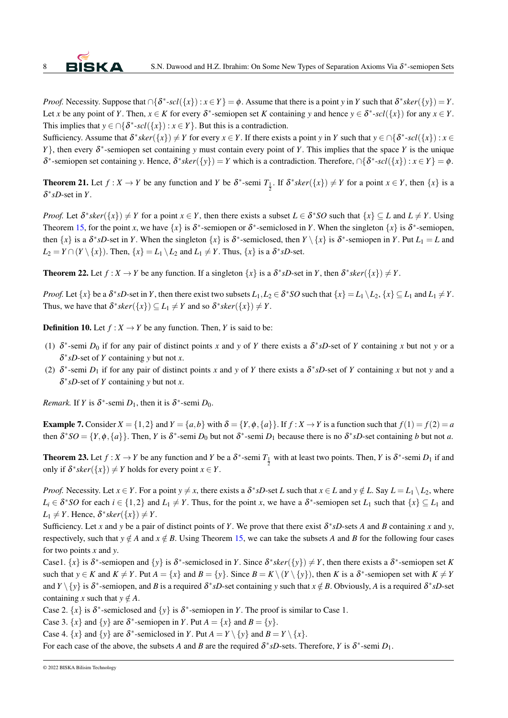*Proof.* Necessity. Suppose that  $\cap {\delta^* \text{-} scl}({x}) : x \in Y} = \phi$ . Assume that there is a point *y* in *Y* such that  $\delta^* sker({y}) = Y$ . Let *x* be any point of *Y*. Then,  $x \in K$  for every  $\delta^*$ -semiopen set *K* containing *y* and hence  $y \in \delta^*$ -scl( $\{\{x\}\}\$  for any  $x \in Y$ . This implies that  $y \in \bigcap \{\delta^* \text{-} scl(\lbrace x \rbrace) : x \in Y\}$ . But this is a contradiction.

Sufficiency. Assume that  $\delta^* \text{sker}(\{x\}) \neq Y$  for every  $x \in Y$ . If there exists a point *y* in *Y* such that  $y \in \bigcap \{\delta^* \text{-} \text{sel}(\{x\}) : x \in Y\}$ *Y*}, then every δ ∗ -semiopen set containing *y* must contain every point of *Y*. This implies that the space *Y* is the unique  $δ^*$ -semiopen set containing *y*. Hence,  $δ^*sker({y}) = Y$  which is a contradiction. Therefore, ∩{ $δ^*$ -scl({*x*}) : *x* ∈ *Y*} =  $φ$ .

**Theorem 21.** Let  $f: X \to Y$  be any function and  $Y$  be  $\delta^*$ -semi  $T_{\frac{1}{2}}$ . If  $\delta^* s \text{ker}(\{x\}) \neq Y$  for a point  $x \in Y$ , then  $\{x\}$  is a  $\delta^*$ *sD*-set in *Y*.

*Proof.* Let  $\delta^* sker(\lbrace x \rbrace) \neq Y$  for a point  $x \in Y$ , then there exists a subset  $L \in \delta^* SO$  such that  $\lbrace x \rbrace \subseteq L$  and  $L \neq Y$ . Using Theorem [15,](#page-5-1) for the point *x*, we have  $\{x\}$  is  $\delta^*$ -semiopen or  $\delta^*$ -semiclosed in *Y*. When the singleton  $\{x\}$  is  $\delta^*$ -semiopen, then  $\{x\}$  is a  $\delta^*sD$ -set in *Y*. When the singleton  $\{x\}$  is  $\delta^*$ -semiclosed, then  $Y \setminus \{x\}$  is  $\delta^*$ -semiopen in *Y*. Put  $L_1 = L$  and  $L_2 = Y \cap (Y \setminus \{x\})$ . Then,  $\{x\} = L_1 \setminus L_2$  and  $L_1 \neq Y$ . Thus,  $\{x\}$  is a  $\delta^* sD$ -set.

**Theorem 22.** Let  $f: X \to Y$  be any function. If a singleton  $\{x\}$  is a  $\delta^*sD$ -set in *Y*, then  $\delta^*sker(\{x\}) \neq Y$ .

*Proof.* Let  $\{x\}$  be a  $\delta^*sD$ -set in *Y*, then there exist two subsets  $L_1, L_2 \in \delta^*SO$  such that  $\{x\} = L_1 \setminus L_2$ ,  $\{x\} \subseteq L_1$  and  $L_1 \neq Y$ . Thus, we have that  $\delta^* \text{sker}(\{x\}) \subseteq L_1 \neq Y$  and so  $\delta^* \text{sker}(\{x\}) \neq Y$ .

**Definition 10.** Let  $f : X \to Y$  be any function. Then, *Y* is said to be:

- (1)  $\delta^*$ -semi  $D_0$  if for any pair of distinct points *x* and *y* of *Y* there exists a  $\delta^*sD$ -set of *Y* containing *x* but not *y* or a δ ∗ *sD*-set of *Y* containing *y* but not *x*.
- <span id="page-7-0"></span>(2)  $\delta^*$ -semi  $D_1$  if for any pair of distinct points *x* and *y* of *Y* there exists a  $\delta^*sD$ -set of *Y* containing *x* but not *y* and a δ ∗ *sD*-set of *Y* containing *y* but not *x*.

*Remark.* If *Y* is  $\delta^*$ -semi  $D_1$ , then it is  $\delta^*$ -semi  $D_0$ .

<span id="page-7-1"></span>**Example 7.** Consider  $X = \{1,2\}$  and  $Y = \{a,b\}$  with  $\delta = \{Y, \phi, \{a\}\}\$ . If  $f: X \to Y$  is a function such that  $f(1) = f(2) = a$ then  $\delta^*SO = \{Y, \phi, \{a\}\}\.$  Then, *Y* is  $\delta^*$ -semi  $D_0$  but not  $\delta^*$ -semi  $D_1$  because there is no  $\delta^*sD$ -set containing *b* but not *a*.

**Theorem 23.** Let  $f: X \to Y$  be any function and  $Y$  be a  $\delta^*$ -semi  $T_1$  with at least two points. Then,  $Y$  is  $\delta^*$ -semi  $D_1$  if and only if  $\delta^* sker({x}) \neq Y$  holds for every point  $x \in Y$ .

*Proof.* Necessity. Let  $x \in Y$ . For a point  $y \neq x$ , there exists a  $\delta^* sD$ -set *L* such that  $x \in L$  and  $y \notin L$ . Say  $L = L_1 \setminus L_2$ , where  $L_i \in \delta^* SO$  for each  $i \in \{1,2\}$  and  $L_1 \neq Y$ . Thus, for the point *x*, we have a  $\delta^*$ -semiopen set  $L_1$  such that  $\{x\} \subseteq L_1$  and  $L_1 \neq Y$ . Hence,  $\delta^* \, \text{sker}(\{x\}) \neq Y$ .

Sufficiency. Let *x* and *y* be a pair of distinct points of *Y*. We prove that there exist  $\delta^* sD$ -sets *A* and *B* containing *x* and *y*, respectively, such that  $y \notin A$  and  $x \notin B$ . Using Theorem [15,](#page-5-1) we can take the subsets *A* and *B* for the following four cases for two points *x* and *y*.

Case1.  $\{x\}$  is  $\delta^*$ -semiopen and  $\{y\}$  is  $\delta^*$ -semiclosed in *Y*. Since  $\delta^* s \text{ker}(\{y\}) \neq Y$ , then there exists a  $\delta^*$ -semiopen set *K* such that  $y \in K$  and  $K \neq Y$ . Put  $A = \{x\}$  and  $B = \{y\}$ . Since  $B = K \setminus (Y \setminus \{y\})$ , then *K* is a  $\delta^*$ -semiopen set with  $K \neq Y$ and  $Y \setminus \{y\}$  is  $\delta^*$ -semiopen, and *B* is a required  $\delta^* sD$ -set containing *y* such that  $x \notin B$ . Obviously, *A* is a required  $\delta^* sD$ -set containing *x* such that  $y \notin A$ .

Case 2.  $\{x\}$  is  $\delta^*$ -semiclosed and  $\{y\}$  is  $\delta^*$ -semiopen in *Y*. The proof is similar to Case 1.

Case 3.  $\{x\}$  and  $\{y\}$  are  $\delta^*$ -semiopen in *Y*. Put  $A = \{x\}$  and  $B = \{y\}$ .

Case 4.  $\{x\}$  and  $\{y\}$  are  $\delta^*$ -semiclosed in *Y*. Put  $A = Y \setminus \{y\}$  and  $B = Y \setminus \{x\}$ .

For each case of the above, the subsets *A* and *B* are the required  $\delta^* sD$ -sets. Therefore, *Y* is  $\delta^*$ -semi  $D_1$ .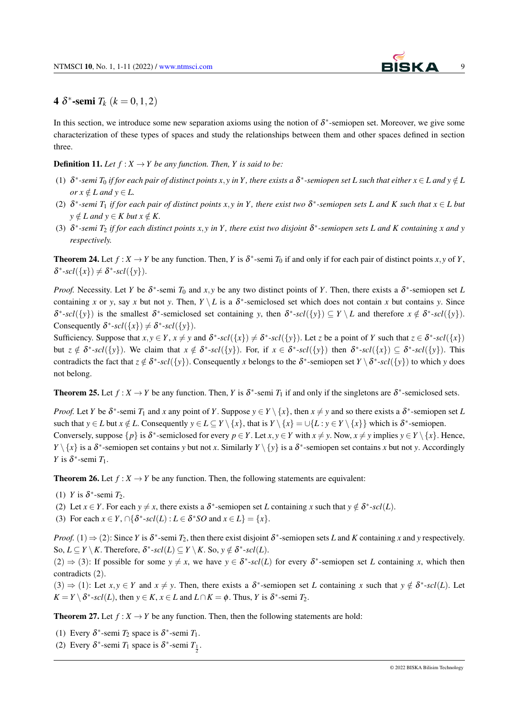

## **4**  $\delta^*$ -semi  $T_k$  ( $k = 0, 1, 2$ )

In this section, we introduce some new separation axioms using the notion of  $\delta^*$ -semiopen set. Moreover, we give some characterization of these types of spaces and study the relationships between them and other spaces defined in section three.

#### **Definition 11.** Let  $f: X \to Y$  be any function. Then, Y is said to be:

- (1)  $\delta^*$ -semi  $T_0$  if for each pair of distinct points x, y in Y, there exists a  $\delta^*$ -semiopen set L such that either  $x \in L$  and  $y \notin L$ *or*  $x \notin L$  *and*  $y \in L$ .
- (2)  $\delta^*$ -semi  $T_1$  if for each pair of distinct points x, y in Y, there exist two  $\delta^*$ -semiopen sets L and K such that  $x \in L$  but  $y \notin L$  and  $y \in K$  but  $x \notin K$ .
- (3) δ ∗ *-semi T*<sup>2</sup> *if for each distinct points x*, *y in Y , there exist two disjoint* δ ∗ *-semiopen sets L and K containing x and y respectively.*

**Theorem 24.** Let  $f: X \to Y$  be any function. Then, *Y* is  $\delta^*$ -semi  $T_0$  if and only if for each pair of distinct points  $x, y$  of *Y*,  $\delta^*$ -*scl*({*x*})  $\neq \delta^*$ -*scl*({*y*}).

*Proof.* Necessity. Let *Y* be  $\delta^*$ -semi  $T_0$  and  $x, y$  be any two distinct points of *Y*. Then, there exists a  $\delta^*$ -semiopen set *L* containing *x* or *y*, say *x* but not *y*. Then,  $Y \setminus L$  is a  $\delta^*$ -semiclosed set which does not contain *x* but contains *y*. Since  $δ^*$ -*scl*({*y*}) is the smallest δ<sup>\*</sup>-semiclosed set containing *y*, then δ<sup>\*</sup>-*scl*({*y*}) ⊆ *Y* \ *L* and therefore *x* ∉ δ<sup>\*</sup>-*scl*({*y*}). Consequently  $\delta^*$ - $scl(\lbrace x \rbrace) \neq \delta^*$ - $scl(\lbrace y \rbrace)$ .

Sufficiency. Suppose that  $x, y \in Y$ ,  $x \neq y$  and  $\delta^*$ -scl $(\{x\}) \neq \delta^*$ -scl $(\{y\})$ . Let z be a point of Y such that  $z \in \delta^*$ -scl $(\{x\})$ but  $z \notin \delta^*$ - $scl(\{y\})$ . We claim that  $x \notin \delta^*$ - $scl(\{y\})$ . For, if  $x \in \delta^*$ - $scl(\{y\})$  then  $\delta^*$ - $scl(\{x\}) \subseteq \delta^*$ - $scl(\{y\})$ . This contradicts the fact that  $z \notin \delta^*$ - $scl(\{y\})$ . Consequently *x* belongs to the  $\delta^*$ -semiopen set  $Y \setminus \delta^*$ - $scl(\{y\})$  to which *y* does not belong.

<span id="page-8-0"></span>**Theorem 25.** Let  $f: X \to Y$  be any function. Then, *Y* is  $\delta^*$ -semi  $T_1$  if and only if the singletons are  $\delta^*$ -semiclosed sets.

*Proof.* Let *Y* be  $\delta^*$ -semi  $T_1$  and *x* any point of *Y*. Suppose  $y \in Y \setminus \{x\}$ , then  $x \neq y$  and so there exists a  $\delta^*$ -semiopen set *L* such that  $y \in L$  but  $x \notin L$ . Consequently  $y \in L \subseteq Y \setminus \{x\}$ , that is  $Y \setminus \{x\} = \bigcup \{L : y \in Y \setminus \{x\}\}$  which is  $\delta^*$ -semiopen. Conversely, suppose  $\{p\}$  is  $\delta^*$ -semiclosed for every  $p \in Y$ . Let  $x, y \in Y$  with  $x \neq y$ . Now,  $x \neq y$  implies  $y \in Y \setminus \{x\}$ . Hence, *Y*  $\setminus$  {*x*} is a  $\delta^*$ -semiopen set contains *y* but not *x*. Similarly *Y*  $\setminus$  {*y*} is a  $\delta^*$ -semiopen set contains *x* but not *y*. Accordingly *Y* is  $\delta^*$ -semi  $T_1$ .

**Theorem 26.** Let  $f: X \to Y$  be any function. Then, the following statements are equivalent:

- (1) *Y* is  $\delta^*$ -semi  $T_2$ .
- (2) Let  $x \in Y$ . For each  $y \neq x$ , there exists a  $\delta^*$ -semiopen set *L* containing *x* such that  $y \notin \delta^*$ -scl(*L*).
- (3) For each  $x \in Y$ ,  $\cap {\delta^* \text{-} \mathit{scl}}(L)$  :  $L \in {\delta^* SO}$  and  $x \in L$ } = { $x$ }.

*Proof.* (1)  $\Rightarrow$  (2): Since *Y* is  $\delta^*$ -semi *T*<sub>2</sub>, then there exist disjoint  $\delta^*$ -semiopen sets *L* and *K* containing *x* and *y* respectively. So,  $L \subseteq Y \setminus K$ . Therefore,  $\delta^*$ - $scl(L) \subseteq Y \setminus K$ . So,  $y \notin \delta^*$ - $scl(L)$ .

 $(2) \Rightarrow (3)$ : If possible for some  $y \neq x$ , we have  $y \in \delta^*$ -scl(*L*) for every  $\delta^*$ -semiopen set *L* containing *x*, which then contradicts (2).

 $(3) \Rightarrow (1)$ : Let  $x, y \in Y$  and  $x \neq y$ . Then, there exists a  $\delta^*$ -semiopen set *L* containing *x* such that  $y \notin \delta^*$ -scl(*L*). Let  $K = Y \setminus \delta^*$ -*scl*(*L*), then  $y \in K$ ,  $x \in L$  and  $L \cap K = \phi$ . Thus, *Y* is  $\delta^*$ -semi *T*<sub>2</sub>.

<span id="page-8-1"></span>**Theorem 27.** Let  $f: X \to Y$  be any function. Then, then the following statements are hold:

- (1) Every  $\delta^*$ -semi  $T_2$  space is  $\delta^*$ -semi  $T_1$ .
- (2) Every  $\delta^*$ -semi  $T_1$  space is  $\delta^*$ -semi  $T_1$ .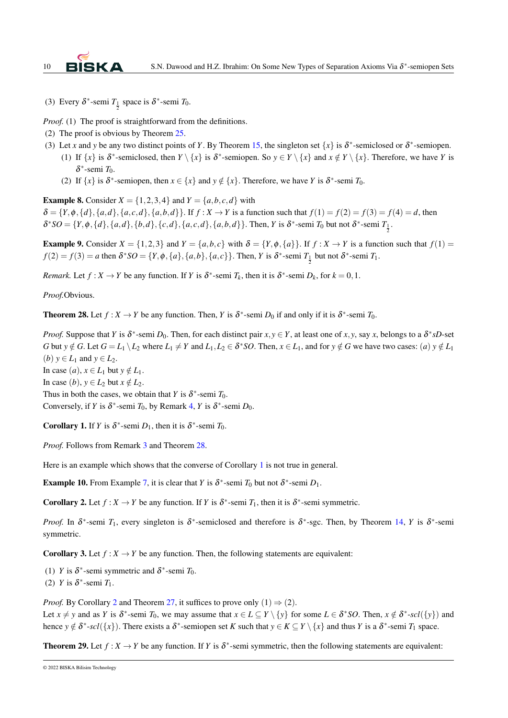

(3) Every  $\delta^*$ -semi  $T_1$  space is  $\delta^*$ -semi  $T_0$ .

*Proof.* (1) The proof is straightforward from the definitions.

- (2) The proof is obvious by Theorem [25.](#page-8-0)
- (3) Let *x* and *y* be any two distinct points of *Y*. By Theorem [15,](#page-5-1) the singleton set  $\{x\}$  is  $\delta^*$ -semiclosed or  $\delta^*$ -semiopen.
	- (1) If  $\{x\}$  is  $\delta^*$ -semiclosed, then  $Y \setminus \{x\}$  is  $\delta^*$ -semiopen. So  $y \in Y \setminus \{x\}$  and  $x \notin Y \setminus \{x\}$ . Therefore, we have *Y* is δ ∗ -semi *T*0.
	- (2) If  $\{x\}$  is  $\delta^*$ -semiopen, then  $x \in \{x\}$  and  $y \notin \{x\}$ . Therefore, we have *Y* is  $\delta^*$ -semi  $T_0$ .

**Example 8.** Consider  $X = \{1, 2, 3, 4\}$  and  $Y = \{a, b, c, d\}$  with

 $\delta = \{Y, \phi, \{d\}, \{a,d\}, \{a,c,d\}, \{a,b,d\}\}\$ . If  $f: X \to Y$  is a function such that  $f(1) = f(2) = f(3) = f(4) = d$ , then  $\delta^*SO = \{Y, \phi, \{d\}, \{a,d\}, \{b,d\}, \{c,d\}, \{a,c,d\}, \{a,b,d\}\}\$ . Then, Y is  $\delta^*$ -semi  $T_0$  but not  $\delta^*$ -semi  $T_{\frac{1}{2}}$ .

<span id="page-9-0"></span>**Example 9.** Consider  $X = \{1,2,3\}$  and  $Y = \{a,b,c\}$  with  $\delta = \{Y, \phi, \{a\}\}\$ . If  $f : X \to Y$  is a function such that  $f(1) =$  $f(2) = f(3) = a$  then  $\delta^*SO = \{Y, \phi, \{a\}, \{a, b\}, \{a, c\}\}\$ . Then, *Y* is  $\delta^*$ -semi  $T_1$  but not  $\delta^*$ -semi  $T_1$ .

*Remark.* Let  $f: X \to Y$  be any function. If *Y* is  $\delta^*$ -semi  $T_k$ , then it is  $\delta^*$ -semi  $D_k$ , for  $k = 0, 1$ .

*Proof.*Obvious.

<span id="page-9-1"></span>**Theorem 28.** Let  $f: X \to Y$  be any function. Then, *Y* is  $\delta^*$ -semi *D*<sub>0</sub> if and only if it is  $\delta^*$ -semi *T*<sub>0</sub>.

*Proof.* Suppose that *Y* is  $\delta^*$ -semi *D*<sub>0</sub>. Then, for each distinct pair  $x, y \in Y$ , at least one of *x*, *y*, say *x*, belongs to a  $\delta^*sD$ -set G but  $y \notin G$ . Let  $G = L_1 \setminus L_2$  where  $L_1 \neq Y$  and  $L_1, L_2 \in \delta^* SO$ . Then,  $x \in L_1$ , and for  $y \notin G$  we have two cases: (a)  $y \notin L_1$ (*b*)  $y \in L_1$  and  $y \in L_2$ . In case  $(a)$ ,  $x \in L_1$  but  $y \notin L_1$ . In case  $(b)$ ,  $y \in L_2$  but  $x \notin L_2$ . Thus in both the cases, we obtain that *Y* is  $\delta^*$ -semi *T*<sub>0</sub>. Conversely, if *Y* is  $\delta^*$ -semi *T*<sub>0</sub>, by Remark [4,](#page-9-0) *Y* is  $\delta^*$ -semi *D*<sub>0</sub>.

<span id="page-9-2"></span>**Corollary 1.** If *Y* is  $\delta^*$ -semi  $D_1$ , then it is  $\delta^*$ -semi  $T_0$ .

*Proof.* Follows from Remark [3](#page-7-0) and Theorem [28.](#page-9-1)

Here is an example which shows that the converse of Corollary [1](#page-9-2) is not true in general.

**Example 10.** From Example [7,](#page-7-1) it is clear that *Y* is  $\delta^*$ -semi  $T_0$  but not  $\delta^*$ -semi  $D_1$ .

<span id="page-9-3"></span>**Corollary 2.** Let  $f : X \to Y$  be any function. If *Y* is  $\delta^*$ -semi  $T_1$ , then it is  $\delta^*$ -semi symmetric.

*Proof.* In  $\delta^*$ -semi  $T_1$ , every singleton is  $\delta^*$ -semiclosed and therefore is  $\delta^*$ -sgc. Then, by Theorem [14,](#page-5-2) *Y* is  $\delta^*$ -semi symmetric.

<span id="page-9-4"></span>**Corollary 3.** Let  $f: X \to Y$  be any function. Then, the following statements are equivalent:

(1) *Y* is  $\delta^*$ -semi symmetric and  $\delta^*$ -semi  $T_0$ .

(2) *Y* is  $\delta^*$ -semi  $T_1$ .

*Proof.* By Corollary [2](#page-9-3) and Theorem [27,](#page-8-1) it suffices to prove only  $(1) \Rightarrow (2)$ .

Let  $x \neq y$  and as *Y* is  $\delta^*$ -semi  $T_0$ , we may assume that  $x \in L \subseteq Y \setminus \{y\}$  for some  $L \in \delta^*SO$ . Then,  $x \notin \delta^*$ -scl $(\{y\})$  and hence  $y \notin \delta^*$ -scl( $\{x\}$ ). There exists a  $\delta^*$ -semiopen set *K* such that  $y \in K \subseteq Y \setminus \{x\}$  and thus *Y* is a  $\delta^*$ -semi  $T_1$  space.

**Theorem 29.** Let  $f: X \to Y$  be any function. If Y is  $\delta^*$ -semi symmetric, then the following statements are equivalent: